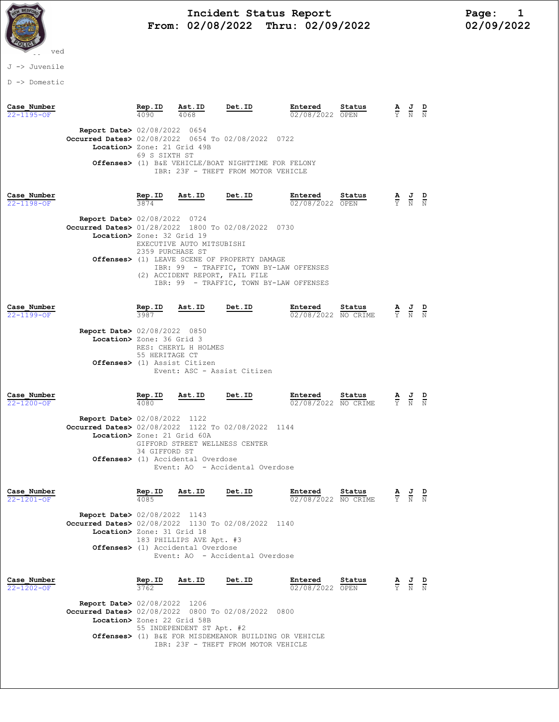

# Incident Status Report<br>02/08/2022 Thru: 02/09/2022 12/09/2022 12/09/2022 From: 02/08/2022 Thru: 02/09/2022

J -> Juvenile

D -> Domestic

| Case Number<br>$22 - 1195 - 0F$ |                                                                                                                             | $\frac{\text{Rep. ID}}{4090}$ | $\frac{\texttt{Ast.ID}}{4068}$                                      | Det.ID                                                                                                                             | Entered<br>02/08/2022 OPEN     | Status |                             | $\frac{J}{\overline{N}}$                                                                              |  |
|---------------------------------|-----------------------------------------------------------------------------------------------------------------------------|-------------------------------|---------------------------------------------------------------------|------------------------------------------------------------------------------------------------------------------------------------|--------------------------------|--------|-----------------------------|-------------------------------------------------------------------------------------------------------|--|
|                                 | <b>Report Date&gt; 02/08/2022 0654</b><br>Occurred Dates> 02/08/2022 0654 To 02/08/2022 0722<br>Location> Zone: 21 Grid 49B | 69 S SIXTH ST                 |                                                                     | Offenses> (1) B&E VEHICLE/BOAT NIGHTTIME FOR FELONY<br>IBR: 23F - THEFT FROM MOTOR VEHICLE                                         |                                |        |                             |                                                                                                       |  |
| Case Number<br>$22 - 1198 - OF$ | Report Date> 02/08/2022 0724<br>Occurred Dates> 01/28/2022 1800 To 02/08/2022 0730<br>Location> Zone: 32 Grid 19            | $\frac{\text{Rep. ID}}{3874}$ | <u>Ast.ID</u><br>EXECUTIVE AUTO MITSUBISHI                          | Det.ID                                                                                                                             | Entered<br>02/08/2022 OPEN     | Status |                             | $\frac{\mathbf{A}}{\mathbf{Y}}$ $\frac{\mathbf{J}}{\mathbf{N}}$ $\frac{\mathbf{D}}{\mathbf{N}}$       |  |
|                                 |                                                                                                                             | 2359 PURCHASE ST              | (2) ACCIDENT REPORT, FAIL FILE                                      | Offenses> (1) LEAVE SCENE OF PROPERTY DAMAGE<br>IBR: 99 - TRAFFIC, TOWN BY-LAW OFFENSES<br>IBR: 99 - TRAFFIC, TOWN BY-LAW OFFENSES |                                |        |                             |                                                                                                       |  |
| Case Number<br>22-1199-OF       | <b>Report Date&gt; 02/08/2022 0850</b>                                                                                      | $rac{\text{Rep. ID}}{3987}$   | Ast.ID                                                              | Det.ID                                                                                                                             | Entered<br>02/08/2022 NO CRIME | Status |                             | $\frac{\mathbf{A}}{\overline{Y}}$ $\frac{\mathbf{J}}{\overline{N}}$ $\frac{\mathbf{D}}{\overline{N}}$ |  |
|                                 | Location> Zone: 36 Grid 3                                                                                                   | 55 HERITAGE CT                | RES: CHERYL H HOLMES<br>Offenses> (1) Assist Citizen                | Event: ASC - Assist Citizen                                                                                                        |                                |        |                             |                                                                                                       |  |
| Case Number<br>22-1200-OF       |                                                                                                                             | $\frac{\text{Rep. ID}}{4080}$ | Ast.ID                                                              | Det.ID                                                                                                                             | Entered<br>02/08/2022 NO CRIME | Status |                             | $\frac{\mathbf{A}}{\mathbf{Y}}$ $\frac{\mathbf{J}}{\mathbf{N}}$ $\frac{\mathbf{D}}{\mathbf{N}}$       |  |
|                                 | <b>Report Date&gt; 02/08/2022 1122</b><br>Occurred Dates> 02/08/2022 1122 To 02/08/2022 1144<br>Location> Zone: 21 Grid 60A | 34 GIFFORD ST                 | GIFFORD STREET WELLNESS CENTER<br>Offenses> (1) Accidental Overdose |                                                                                                                                    |                                |        |                             |                                                                                                       |  |
|                                 |                                                                                                                             |                               |                                                                     | Event: AO - Accidental Overdose                                                                                                    |                                |        |                             |                                                                                                       |  |
| Case Number<br>$22 - 1201 - OF$ | <b>Report Date&gt; 02/08/2022 1143</b>                                                                                      | Rep.ID<br>4085                | Ast.ID                                                              | Det.ID                                                                                                                             | Entered<br>02/08/2022 NO CRIME | Status | $rac{\mathbf{A}}{\Upsilon}$ | $rac{\mathbf{J}}{\mathbf{N}}$                                                                         |  |
|                                 | Occurred Dates> 02/08/2022 1130 To 02/08/2022 1140<br>Location> Zone: 31 Grid 18                                            |                               | 183 PHILLIPS AVE Apt. #3<br>Offenses> (1) Accidental Overdose       | Event: AO - Accidental Overdose                                                                                                    |                                |        |                             |                                                                                                       |  |
| Case Number<br>$22 - 1202 - 0F$ |                                                                                                                             | Rep.ID<br>3762                | Ast.ID                                                              | Det.ID                                                                                                                             | Entered<br>02/08/2022 OPEN     | Status |                             | $\frac{\mathbf{A}}{\mathbf{Y}}$ $\frac{\mathbf{J}}{\mathbf{N}}$ $\frac{\mathbf{D}}{\mathbf{N}}$       |  |
|                                 | <b>Report Date&gt; 02/08/2022 1206</b><br>Occurred Dates> 02/08/2022 0800 To 02/08/2022 0800<br>Location> Zone: 22 Grid 58B |                               | 55 INDEPENDENT ST Apt. #2                                           | Offenses> (1) B&E FOR MISDEMEANOR BUILDING OR VEHICLE                                                                              |                                |        |                             |                                                                                                       |  |

IBR: 23F - THEFT FROM MOTOR VEHICLE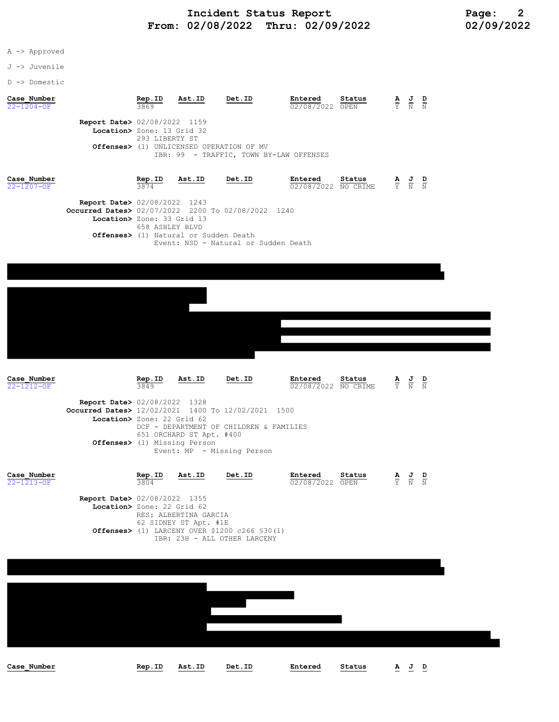A -> Approved

J -> Juvenile

D -> Domestic

| Case Number<br>$22 - 1204 - OF$ |                                                                                   | Rep.ID<br>3869 | Ast.ID | Det.ID                                            | Entered<br>02/08/2022 OPEN | Status | $\overline{\mathbf{A}}$ | <u>J D</u><br>N | N |
|---------------------------------|-----------------------------------------------------------------------------------|----------------|--------|---------------------------------------------------|----------------------------|--------|-------------------------|-----------------|---|
|                                 | <b>Report Date&gt; 02/08/2022 1159</b><br>Location> Zone: 13 Grid 32<br>Offenses> | 293 LIBERTY ST |        | (1) UNLICENSED OPERATION OF MV                    |                            |        |                         |                 |   |
| Case Number                     |                                                                                   | Rep.ID         | Ast.ID | IBR: 99 - TRAFFIC, TOWN BY-LAW OFFENSES<br>Det.ID | Entered                    | Status | AJ                      |                 | D |

| $22 - 1207 - OF$ |                                                    | 3874            |                                                 |                                      | $\overline{02/08/2022}$ NO CRIME $\overline{Y}$ N N |  |  |
|------------------|----------------------------------------------------|-----------------|-------------------------------------------------|--------------------------------------|-----------------------------------------------------|--|--|
|                  | <b>Report Date&gt; 02/08/2022 1243</b>             |                 |                                                 |                                      |                                                     |  |  |
|                  | Occurred Dates> 02/07/2022 2200 To 02/08/2022 1240 |                 |                                                 |                                      |                                                     |  |  |
|                  | Location> Zone: 33 Grid 13                         |                 |                                                 |                                      |                                                     |  |  |
|                  |                                                    | 658 ASHLEY BLVD |                                                 |                                      |                                                     |  |  |
|                  |                                                    |                 | <b>Offenses&gt;</b> (1) Natural or Sudden Death |                                      |                                                     |  |  |
|                  |                                                    |                 |                                                 | Event: NSD - Natural or Sudden Death |                                                     |  |  |





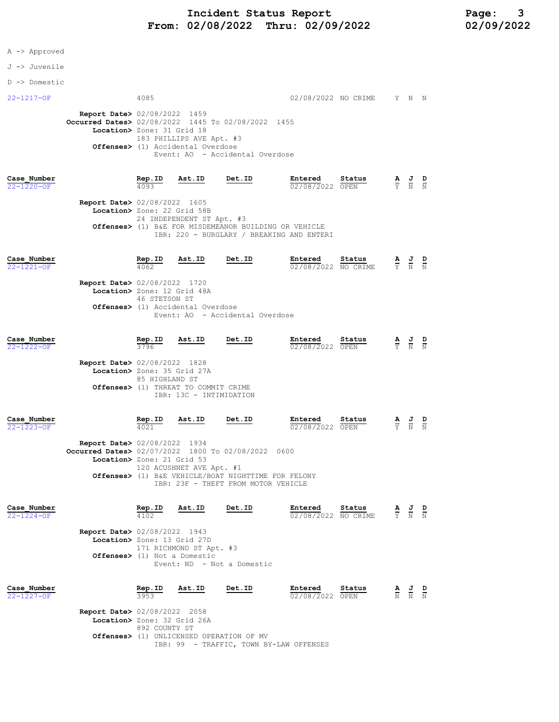# Incident Status Report<br>02/08/2022 Thru: 02/09/2022 12 02/09/2022 From: 02/08/2022 Thru: 02/09/2022

A -> Approved

#### J -> Juvenile

D -> Domestic

## 22-1217-OF 4085 02/08/2022 NO CRIME Y N N

 Report Date> 02/08/2022 1459 Occurred Dates> 02/08/2022 1445 To 02/08/2022 1455 Location> Zone: 31 Grid 18 183 PHILLIPS AVE Apt. #3 Offenses> (1) Accidental Overdose Event: AO - Accidental Overdose

### Case\_Number Rep.ID Ast.ID Det.ID Entered Status A J D 22-1220-OF 4093 02/08/2022 OPEN Y N N

 Report Date> 02/08/2022 1605 Location> Zone: 22 Grid 58B 24 INDEPENDENT ST Apt. #3 Offenses> (1) B&E FOR MISDEMEANOR BUILDING OR VEHICLE IBR: 220 - BURGLARY / BREAKING AND ENTERI

| Case Number<br>$22 - 1221 - 0F$ |                                        | Rep.ID<br>4062 | Ast.ID | Det.ID                          | Entered | Status<br>02/08/2022 NO CRIME | $\underline{A}$ $\underline{J}$<br>Y N N | D |
|---------------------------------|----------------------------------------|----------------|--------|---------------------------------|---------|-------------------------------|------------------------------------------|---|
|                                 | <b>Report Date&gt; 02/08/2022 1720</b> |                |        |                                 |         |                               |                                          |   |
|                                 | Location> Zone: 12 Grid 48A            | 46 STETSON ST  |        |                                 |         |                               |                                          |   |
|                                 | Offenses> (1) Accidental Overdose      |                |        | Event: AO - Accidental Overdose |         |                               |                                          |   |
|                                 |                                        |                |        |                                 |         |                               |                                          |   |

| Case Number<br>$22 - 1222 - OF$ |                                                                       | Rep.ID<br>3796                                                   | Ast.ID                  | Det.ID | Entered<br>02/08/2022 OPEN | Status | ≜<br>Y | 프<br>N N | D |
|---------------------------------|-----------------------------------------------------------------------|------------------------------------------------------------------|-------------------------|--------|----------------------------|--------|--------|----------|---|
|                                 | <b>Report Date&gt; 02/08/2022 1828</b><br>Location> Zone: 35 Grid 27A |                                                                  |                         |        |                            |        |        |          |   |
|                                 |                                                                       | 85 HIGHLAND ST<br><b>Offenses&gt;</b> (1) THREAT TO COMMIT CRIME |                         |        |                            |        |        |          |   |
|                                 |                                                                       |                                                                  | IBR: 13C - INTIMIDATION |        |                            |        |        |          |   |

| Case Number      |                                        | Rep.ID | Ast.ID | Det.ID | Entered         | Status | AJ D  |  |
|------------------|----------------------------------------|--------|--------|--------|-----------------|--------|-------|--|
| $22 - 1223 - OF$ |                                        | 4021   |        |        | 02/08/2022 OPEN |        | Y N N |  |
|                  | <b>Report Date&gt;</b> 02/08/2022 1934 |        |        |        |                 |        |       |  |
|                  | Oq                                     |        |        |        |                 |        |       |  |

| Occurred Dates> 02/07/2022 1800 To 02/08/2022 0600  |
|-----------------------------------------------------|
| Location> Zone: 21 Grid 53                          |
| 120 ACUSHNET AVE Apt. #1                            |
| Offenses> (1) B&E VEHICLE/BOAT NIGHTTIME FOR FELONY |
| TBR: 23F - THEFT FROM MOTOR VEHICLE                 |

| Case Number<br>$22 - 1224 - OF$ |                                                                       | Rep.ID<br>4102 | Ast.ID                                                            | Det.ID                     | Entered<br>02/08/2022 NO CRIME | Status         | $\overline{A}$<br>Ÿ. | J<br>$\mathbb N$ | D<br>N |
|---------------------------------|-----------------------------------------------------------------------|----------------|-------------------------------------------------------------------|----------------------------|--------------------------------|----------------|----------------------|------------------|--------|
|                                 | <b>Report Date&gt; 02/08/2022 1943</b><br>Location> Zone: 13 Grid 27D |                | 171 RICHMOND ST Apt. #3<br><b>Offenses&gt;</b> (1) Not a Domestic | Event: ND - Not a Domestic |                                |                |                      |                  |        |
| Case Number<br>$22 - 1227 - OF$ |                                                                       | Rep.ID<br>3953 | Ast.ID                                                            | Det.ID                     | Entered<br>02/08/2022          | Status<br>OPEN | A                    | J<br>N           | D      |

 Report Date> 02/08/2022 2058 Location> Zone: 32 Grid 26A 892 COUNTY ST Offenses> (1) UNLICENSED OPERATION OF MV IBR: 99 - TRAFFIC, TOWN BY-LAW OFFENSES